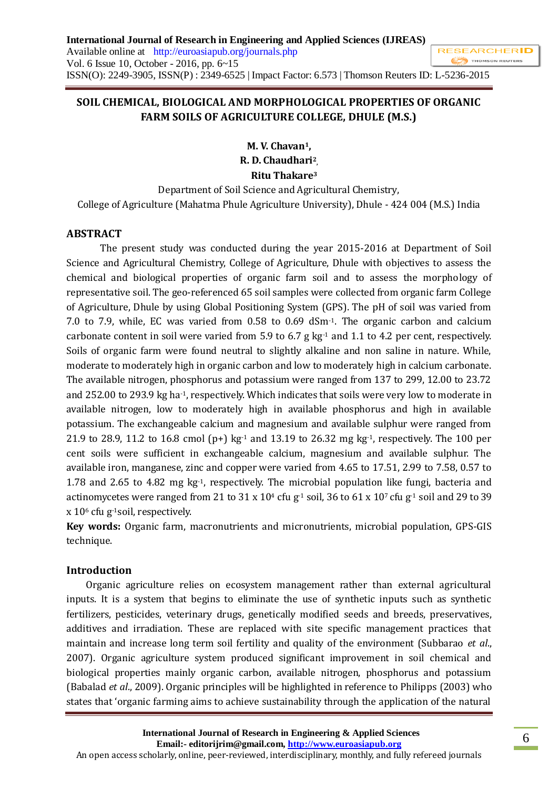# **SOIL CHEMICAL, BIOLOGICAL AND MORPHOLOGICAL PROPERTIES OF ORGANIC FARM SOILS OF AGRICULTURE COLLEGE, DHULE (M.S.)**

**M. V. Chavan1, R. D. Chaudhari<sup>2</sup> , Ritu Thakare<sup>3</sup>**

# Department of Soil Science and Agricultural Chemistry, College of Agriculture (Mahatma Phule Agriculture University), Dhule - 424 004 (M.S.) India

### **ABSTRACT**

The present study was conducted during the year 2015-2016 at Department of Soil Science and Agricultural Chemistry, College of Agriculture, Dhule with objectives to assess the chemical and biological properties of organic farm soil and to assess the morphology of representative soil. The geo-referenced 65 soil samples were collected from organic farm College of Agriculture, Dhule by using Global Positioning System (GPS). The pH of soil was varied from 7.0 to 7.9, while, EC was varied from 0.58 to 0.69 dSm-1. The organic carbon and calcium carbonate content in soil were varied from 5.9 to 6.7 g kg-1 and 1.1 to 4.2 per cent, respectively. Soils of organic farm were found neutral to slightly alkaline and non saline in nature. While, moderate to moderately high in organic carbon and low to moderately high in calcium carbonate. The available nitrogen, phosphorus and potassium were ranged from 137 to 299, 12.00 to 23.72 and 252.00 to 293.9 kg ha-1, respectively. Which indicates that soils were very low to moderate in available nitrogen, low to moderately high in available phosphorus and high in available potassium. The exchangeable calcium and magnesium and available sulphur were ranged from 21.9 to 28.9, 11.2 to 16.8 cmol (p+) kg $\cdot$  and 13.19 to 26.32 mg kg $\cdot$ , respectively. The 100 per cent soils were sufficient in exchangeable calcium, magnesium and available sulphur. The available iron, manganese, zinc and copper were varied from 4.65 to 17.51, 2.99 to 7.58, 0.57 to 1.78 and 2.65 to 4.82 mg kg-1, respectively. The microbial population like fungi, bacteria and actinomycetes were ranged from 21 to 31 x  $10<sup>4</sup>$  cfu g<sup>-1</sup> soil, 36 to 61 x  $10<sup>7</sup>$  cfu g<sup>-1</sup> soil and 29 to 39 x 10<sup>6</sup> cfu g-1soil, respectively.

**Key words:** Organic farm, macronutrients and micronutrients, microbial population, GPS-GIS technique.

#### **Introduction**

Organic agriculture relies on ecosystem management rather than external agricultural inputs. It is a system that begins to eliminate the use of synthetic inputs such as synthetic fertilizers, pesticides, veterinary drugs, genetically modified seeds and breeds, preservatives, additives and irradiation. These are replaced with site specific management practices that maintain and increase long term soil fertility and quality of the environment (Subbarao *et al*., 2007). Organic agriculture system produced significant improvement in soil chemical and biological properties mainly organic carbon, available nitrogen, phosphorus and potassium (Babalad *et al*., 2009). Organic principles will be highlighted in reference to Philipps (2003) who states that 'organic farming aims to achieve sustainability through the application of the natural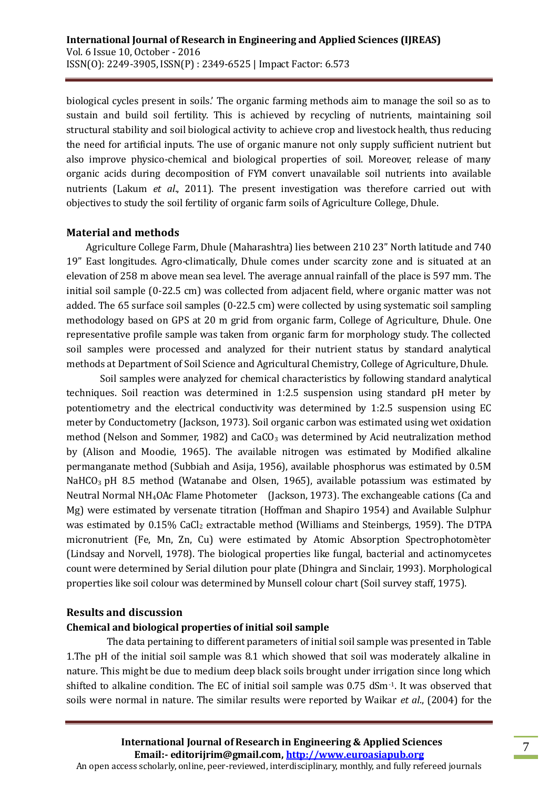biological cycles present in soils.' The organic farming methods aim to manage the soil so as to sustain and build soil fertility. This is achieved by recycling of nutrients, maintaining soil structural stability and soil biological activity to achieve crop and livestock health, thus reducing the need for artificial inputs. The use of organic manure not only supply sufficient nutrient but also improve physico-chemical and biological properties of soil. Moreover, release of many organic acids during decomposition of FYM convert unavailable soil nutrients into available nutrients (Lakum *et al*., 2011). The present investigation was therefore carried out with objectives to study the soil fertility of organic farm soils of Agriculture College, Dhule.

#### **Material and methods**

Agriculture College Farm, Dhule (Maharashtra) lies between 210 23" North latitude and 740 19" East longitudes. Agro-climatically, Dhule comes under scarcity zone and is situated at an elevation of 258 m above mean sea level. The average annual rainfall of the place is 597 mm. The initial soil sample (0-22.5 cm) was collected from adjacent field, where organic matter was not added. The 65 surface soil samples (0-22.5 cm) were collected by using systematic soil sampling methodology based on GPS at 20 m grid from organic farm, College of Agriculture, Dhule. One representative profile sample was taken from organic farm for morphology study. The collected soil samples were processed and analyzed for their nutrient status by standard analytical methods at Department of Soil Science and Agricultural Chemistry, College of Agriculture, Dhule.

Soil samples were analyzed for chemical characteristics by following standard analytical techniques. Soil reaction was determined in 1:2.5 suspension using standard pH meter by potentiometry and the electrical conductivity was determined by 1:2.5 suspension using EC meter by Conductometry (Jackson, 1973). Soil organic carbon was estimated using wet oxidation method (Nelson and Sommer, 1982) and  $CaCO<sub>3</sub>$  was determined by Acid neutralization method by (Alison and Moodie, 1965). The available nitrogen was estimated by Modified alkaline permanganate method (Subbiah and Asija, 1956), available phosphorus was estimated by 0.5M NaHCO<sub>3</sub> pH 8.5 method (Watanabe and Olsen, 1965), available potassium was estimated by Neutral Normal NH4OAc Flame Photometer (Jackson, 1973). The exchangeable cations (Ca and Mg) were estimated by versenate titration (Hoffman and Shapiro 1954) and Available Sulphur was estimated by 0.15% CaCl<sub>2</sub> extractable method (Williams and Steinbergs, 1959). The DTPA micronutrient (Fe, Mn, Zn, Cu) were estimated by Atomic Absorption Spectrophotomèter (Lindsay and Norvell, 1978). The biological properties like fungal, bacterial and actinomycetes count were determined by Serial dilution pour plate (Dhingra and Sinclair, 1993). Morphological properties like soil colour was determined by Munsell colour chart (Soil survey staff, 1975).

# **Results and discussion**

# **Chemical and biological properties of initial soil sample**

 The data pertaining to different parameters of initial soil sample was presented in Table 1.The pH of the initial soil sample was 8.1 which showed that soil was moderately alkaline in nature. This might be due to medium deep black soils brought under irrigation since long which shifted to alkaline condition. The EC of initial soil sample was 0.75 dSm-1. It was observed that soils were normal in nature. The similar results were reported by Waikar *et al*., (2004) for the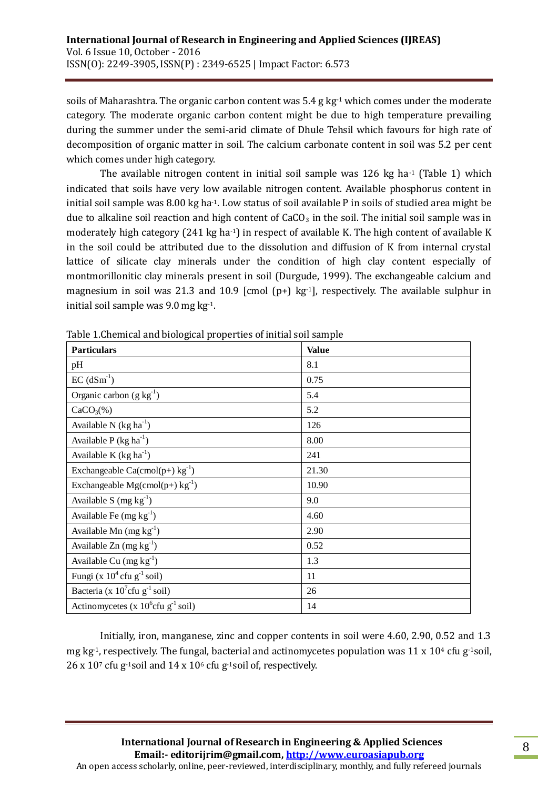soils of Maharashtra. The organic carbon content was 5.4 g kg<sup>-1</sup> which comes under the moderate category. The moderate organic carbon content might be due to high temperature prevailing during the summer under the semi-arid climate of Dhule Tehsil which favours for high rate of decomposition of organic matter in soil. The calcium carbonate content in soil was 5.2 per cent which comes under high category.

The available nitrogen content in initial soil sample was  $126$  kg ha $\cdot$  (Table 1) which indicated that soils have very low available nitrogen content. Available phosphorus content in initial soil sample was 8.00 kg ha-1. Low status of soil available P in soils of studied area might be due to alkaline soil reaction and high content of  $CaCO<sub>3</sub>$  in the soil. The initial soil sample was in moderately high category  $(241 \text{ kg ha}^{-1})$  in respect of available K. The high content of available K in the soil could be attributed due to the dissolution and diffusion of K from internal crystal lattice of silicate clay minerals under the condition of high clay content especially of montmorillonitic clay minerals present in soil (Durgude, 1999). The exchangeable calcium and magnesium in soil was 21.3 and 10.9 [cmol (p+) kg $-1$ ], respectively. The available sulphur in initial soil sample was 9.0 mg kg-1.

| <b>Particulars</b>                                | <b>Value</b> |  |  |
|---------------------------------------------------|--------------|--|--|
| pH                                                | 8.1          |  |  |
| $EC$ (dSm <sup>-1</sup> )                         | 0.75         |  |  |
| Organic carbon $(g kg^{-1})$                      | 5.4          |  |  |
| $CaCO3(\%)$                                       | 5.2          |  |  |
| Available N $(kg ha-1)$                           | 126          |  |  |
| Available $P$ (kg ha <sup>-1</sup> )              | 8.00         |  |  |
| Available K $(kg ha^{-1})$                        | 241          |  |  |
| Exchangeable $Ca(cmol(p+) kg^{-1})$               | 21.30        |  |  |
| Exchangeable Mg(cmol(p+) $kg^{-1}$ )              | 10.90        |  |  |
| Available S $(mg kg-1)$                           | 9.0          |  |  |
| Available Fe $(mg kg^{-1})$                       | 4.60         |  |  |
| Available Mn $(mg kg^{-1})$                       | 2.90         |  |  |
| Available $Zn$ (mg $kg^{-1}$ )                    | 0.52         |  |  |
| Available Cu $(mg kg^{-1})$                       | 1.3          |  |  |
| Fungi (x $10^4$ cfu g <sup>-1</sup> soil)         | 11           |  |  |
| Bacteria (x $10^7$ cfu g <sup>-1</sup> soil)      | 26           |  |  |
| Actinomycetes (x $10^6$ cfu g <sup>-1</sup> soil) | 14           |  |  |

Table 1.Chemical and biological properties of initial soil sample

Initially, iron, manganese, zinc and copper contents in soil were 4.60, 2.90, 0.52 and 1.3 mg kg<sup>-1</sup>, respectively. The fungal, bacterial and actinomycetes population was  $11 \times 10^4$  cfu g<sup>-1</sup>soil,  $26 \times 10^7$  cfu g<sup>-1</sup>soil and  $14 \times 10^6$  cfu g<sup>-1</sup>soil of, respectively.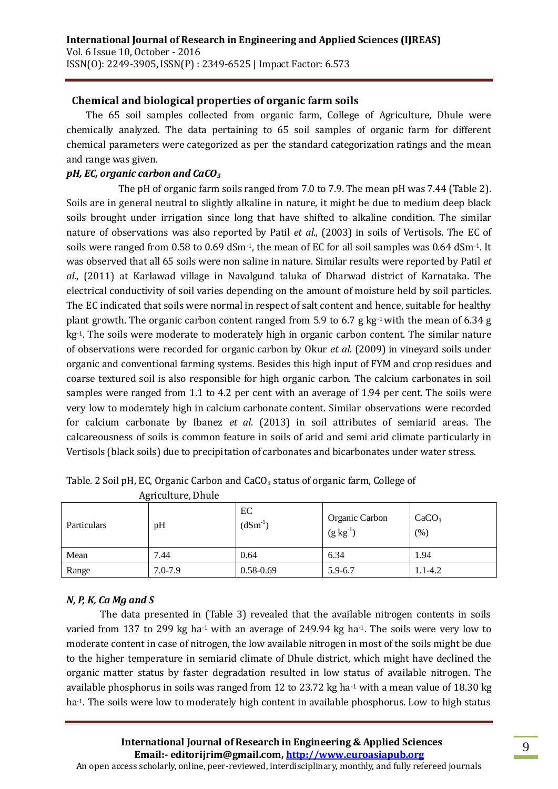### **Chemical and biological properties of organic farm soils**

The 65 soil samples collected from organic farm, College of Agriculture, Dhule were chemically analyzed. The data pertaining to 65 soil samples of organic farm for different chemical parameters were categorized as per the standard categorization ratings and the mean and range was given.

#### *pH, EC, organic carbon and CaCO<sup>3</sup>*

 The pH of organic farm soils ranged from 7.0 to 7.9. The mean pH was 7.44 (Table 2). Soils are in general neutral to slightly alkaline in nature, it might be due to medium deep black soils brought under irrigation since long that have shifted to alkaline condition. The similar nature of observations was also reported by Patil *et al*., (2003) in soils of Vertisols. The EC of soils were ranged from 0.58 to 0.69 dSm-1, the mean of EC for all soil samples was 0.64 dSm-1. It was observed that all 65 soils were non saline in nature. Similar results were reported by Patil *et al*., (2011) at Karlawad village in Navalgund taluka of Dharwad district of Karnataka. The electrical conductivity of soil varies depending on the amount of moisture held by soil particles. The EC indicated that soils were normal in respect of salt content and hence, suitable for healthy plant growth. The organic carbon content ranged from 5.9 to 6.7 g kg-1 with the mean of 6.34 g kg<sup>-1</sup>. The soils were moderate to moderately high in organic carbon content. The similar nature of observations were recorded for organic carbon by Okur *et al*. (2009) in vineyard soils under organic and conventional farming systems. Besides this high input of FYM and crop residues and coarse textured soil is also responsible for high organic carbon. The calcium carbonates in soil samples were ranged from 1.1 to 4.2 per cent with an average of 1.94 per cent. The soils were very low to moderately high in calcium carbonate content. Similar observations were recorded for calcium carbonate by Ibanez *et al*. (2013) in soil attributes of semiarid areas. The calcareousness of soils is common feature in soils of arid and semi arid climate particularly in Vertisols (black soils) due to precipitation of carbonates and bicarbonates under water stress.

| Particulars | pH          | EC<br>$(dSm^{-1})$ | Organic Carbon<br>$(g kg^{-1})$ | CaCO <sub>3</sub><br>(% ) |
|-------------|-------------|--------------------|---------------------------------|---------------------------|
| Mean        | 7.44        | 0.64               | 6.34                            | 1.94                      |
| Range       | $7.0 - 7.9$ | $0.58 - 0.69$      | $5.9 - 6.7$                     | $1.1 - 4.2$               |

Table. 2 Soil pH, EC, Organic Carbon and CaCO<sub>3</sub> status of organic farm, College of

Agriculture, Dhule

#### *N, P, K, Ca Mg and S*

The data presented in (Table 3) revealed that the available nitrogen contents in soils varied from 137 to 299 kg ha-1 with an average of 249.94 kg ha**-**1. The soils were very low to moderate content in case of nitrogen, the low available nitrogen in most of the soils might be due to the higher temperature in semiarid climate of Dhule district, which might have declined the organic matter status by faster degradation resulted in low status of available nitrogen. The available phosphorus in soils was ranged from 12 to 23.72 kg ha<sup>-1</sup> with a mean value of 18.30 kg ha<sup>-1</sup>. The soils were low to moderately high content in available phosphorus. Low to high status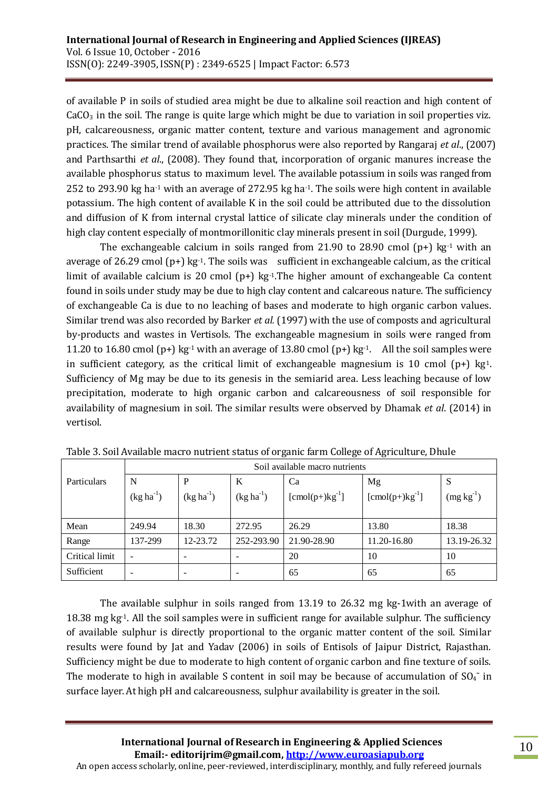of available P in soils of studied area might be due to alkaline soil reaction and high content of  $CaCO<sub>3</sub>$  in the soil. The range is quite large which might be due to variation in soil properties viz. pH, calcareousness, organic matter content, texture and various management and agronomic practices. The similar trend of available phosphorus were also reported by Rangaraj *et al*., (2007) and Parthsarthi *et al*., (2008). They found that, incorporation of organic manures increase the available phosphorus status to maximum level. The available potassium in soils was ranged from 252 to 293.90 kg ha-1 with an average of 272.95 kg ha-1. The soils were high content in available potassium. The high content of available K in the soil could be attributed due to the dissolution and diffusion of K from internal crystal lattice of silicate clay minerals under the condition of high clay content especially of montmorillonitic clay minerals present in soil (Durgude, 1999).

The exchangeable calcium in soils ranged from 21.90 to 28.90 cmol  $(p+)$  kg<sup>-1</sup> with an average of 26.29 cmol  $(p+)$  kg<sup>-1</sup>. The soils was sufficient in exchangeable calcium, as the critical limit of available calcium is 20 cmol  $(p+)$  kg-1. The higher amount of exchangeable Ca content found in soils under study may be due to high clay content and calcareous nature. The sufficiency of exchangeable Ca is due to no leaching of bases and moderate to high organic carbon values. Similar trend was also recorded by Barker *et al.* (1997) with the use of composts and agricultural by-products and wastes in Vertisols. The exchangeable magnesium in soils were ranged from 11.20 to 16.80 cmol (p+) kg<sup>-1</sup> with an average of 13.80 cmol (p+) kg<sup>-1</sup>. All the soil samples were in sufficient category, as the critical limit of exchangeable magnesium is 10 cmol  $(p+)$  kg<sup>1</sup>. Sufficiency of Mg may be due to its genesis in the semiarid area. Less leaching because of low precipitation, moderate to high organic carbon and calcareousness of soil responsible for availability of magnesium in soil. The similar results were observed by Dhamak *et al*. (2014) in vertisol.

|                    | Soil available macro nutrients |                          |                |                                 |                                 |                |
|--------------------|--------------------------------|--------------------------|----------------|---------------------------------|---------------------------------|----------------|
| <b>Particulars</b> | N                              | P                        | K              | Ca                              | Mg                              | S              |
|                    | $(kg ha^{-1})$                 | $(kg ha^{-1})$           | $(kg ha^{-1})$ | $[{\rm cmol}(p+){\rm kg}^{-1}]$ | $[{\rm cmol}(p+){\rm kg}^{-1}]$ | $(mg kg^{-1})$ |
| Mean               | 249.94                         | 18.30                    | 272.95         | 26.29                           | 13.80                           | 18.38          |
| Range              | 137-299                        | 12-23.72                 | 252-293.90     | 21.90-28.90                     | 11.20-16.80                     | 13.19-26.32    |
| Critical limit     | $\overline{\phantom{0}}$       | ۰                        |                | 20                              | 10                              | 10             |
| Sufficient         | -                              | $\overline{\phantom{0}}$ | ۰              | 65                              | 65                              | 65             |

Table 3. Soil Available macro nutrient status of organic farm College of Agriculture, Dhule

The available sulphur in soils ranged from 13.19 to 26.32 mg kg-1with an average of 18.38 mg kg-1. All the soil samples were in sufficient range for available sulphur. The sufficiency of available sulphur is directly proportional to the organic matter content of the soil. Similar results were found by Jat and Yadav (2006) in soils of Entisols of Jaipur District, Rajasthan. Sufficiency might be due to moderate to high content of organic carbon and fine texture of soils. The moderate to high in available S content in soil may be because of accumulation of  $SO_4^-$  in surface layer. At high pH and calcareousness, sulphur availability is greater in the soil.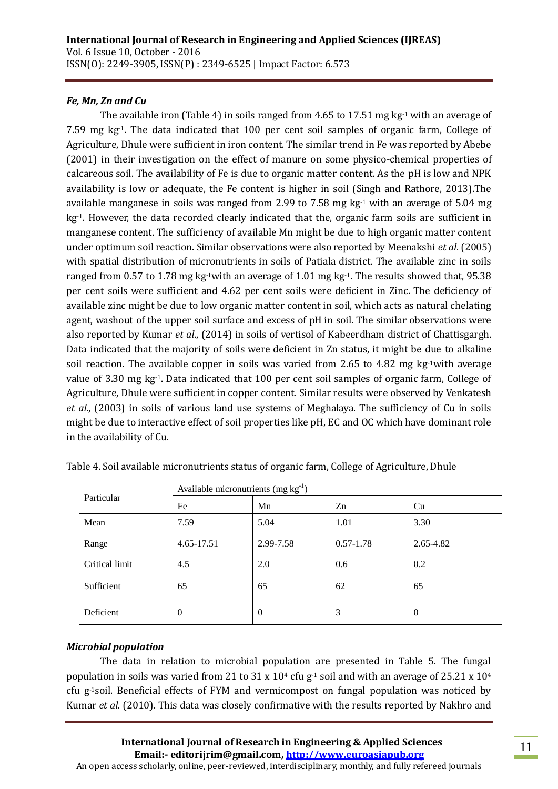### *Fe, Mn, Zn and Cu*

The available iron (Table 4) in soils ranged from 4.65 to 17.51 mg kg<sup>-1</sup> with an average of 7.59 mg kg<sup>-1</sup>. The data indicated that 100 per cent soil samples of organic farm, College of Agriculture, Dhule were sufficient in iron content. The similar trend in Fe was reported by Abebe (2001) in their investigation on the effect of manure on some physico-chemical properties of calcareous soil. The availability of Fe is due to organic matter content. As the pH is low and NPK availability is low or adequate, the Fe content is higher in soil (Singh and Rathore, 2013).The available manganese in soils was ranged from 2.99 to 7.58 mg kg<sup>-1</sup> with an average of 5.04 mg kg<sup>-1</sup>. However, the data recorded clearly indicated that the, organic farm soils are sufficient in manganese content. The sufficiency of available Mn might be due to high organic matter content under optimum soil reaction. Similar observations were also reported by Meenakshi *et al*. (2005) with spatial distribution of micronutrients in soils of Patiala district. The available zinc in soils ranged from 0.57 to 1.78 mg kg-1with an average of 1.01 mg kg-1. The results showed that, 95.38 per cent soils were sufficient and 4.62 per cent soils were deficient in Zinc. The deficiency of available zinc might be due to low organic matter content in soil, which acts as natural chelating agent, washout of the upper soil surface and excess of pH in soil. The similar observations were also reported by Kumar *et al*., (2014) in soils of vertisol of Kabeerdham district of Chattisgargh. Data indicated that the majority of soils were deficient in Zn status, it might be due to alkaline soil reaction. The available copper in soils was varied from 2.65 to 4.82 mg kg<sup>-1</sup>with average value of 3.30 mg kg-1. Data indicated that 100 per cent soil samples of organic farm, College of Agriculture, Dhule were sufficient in copper content. Similar results were observed by Venkatesh *et al*., (2003) in soils of various land use systems of Meghalaya. The sufficiency of Cu in soils might be due to interactive effect of soil properties like pH, EC and OC which have dominant role in the availability of Cu.

|                | Available micronutrients $(mg kg-1)$ |           |               |                |  |  |
|----------------|--------------------------------------|-----------|---------------|----------------|--|--|
| Particular     | Fe                                   | Mn<br>Zn  |               | Cu             |  |  |
| Mean           | 7.59                                 | 5.04      | 1.01          | 3.30           |  |  |
| Range          | 4.65-17.51                           | 2.99-7.58 | $0.57 - 1.78$ | 2.65-4.82      |  |  |
| Critical limit | 4.5                                  | 2.0       | 0.6           | 0.2            |  |  |
| Sufficient     | 65                                   | 65        | 62            | 65             |  |  |
| Deficient      | $\theta$                             | $\theta$  | 3             | $\overline{0}$ |  |  |

#### *Microbial population*

The data in relation to microbial population are presented in Table 5. The fungal population in soils was varied from 21 to 31 x 10<sup>4</sup> cfu g<sup>-1</sup> soil and with an average of 25.21 x 10<sup>4</sup> cfu g-1soil. Beneficial effects of FYM and vermicompost on fungal population was noticed by Kumar *et al*. (2010). This data was closely confirmative with the results reported by Nakhro and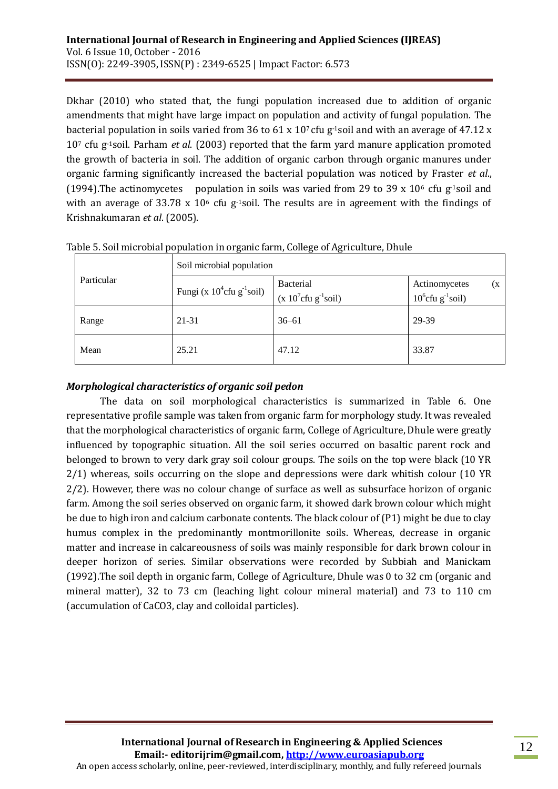Dkhar (2010) who stated that, the fungi population increased due to addition of organic amendments that might have large impact on population and activity of fungal population. The bacterial population in soils varied from 36 to 61 x  $10<sup>7</sup>$  cfu g-1soil and with an average of 47.12 x 10<sup>7</sup> cfu g-1soil. Parham *et al*. (2003) reported that the farm yard manure application promoted the growth of bacteria in soil. The addition of organic carbon through organic manures under organic farming significantly increased the bacterial population was noticed by Fraster *et al*., (1994).The actinomycetes population in soils was varied from 29 to 39 x 10<sup>6</sup> cfu g<sup>-1</sup>soil and with an average of 33.78 x  $10<sup>6</sup>$  cfu g<sup>-1</sup>soil. The results are in agreement with the findings of Krishnakumaran *et al*. (2005).

|            | Soil microbial population           |                                          |                                                          |  |  |  |
|------------|-------------------------------------|------------------------------------------|----------------------------------------------------------|--|--|--|
| Particular | Fungi (x $10^4$ cfu g $^{-1}$ soil) | <b>Bacterial</b><br>$(x 107cfu g-1soil)$ | Actinomycetes<br>(X)<br>$10^6$ cfu g <sup>-1</sup> soil) |  |  |  |
| Range      | 21-31                               | $36 - 61$                                | 29-39                                                    |  |  |  |
| Mean       | 25.21                               | 47.12                                    | 33.87                                                    |  |  |  |

Table 5. Soil microbial population in organic farm, College of Agriculture, Dhule

# *Morphological characteristics of organic soil pedon*

The data on soil morphological characteristics is summarized in Table 6. One representative profile sample was taken from organic farm for morphology study. It was revealed that the morphological characteristics of organic farm, College of Agriculture, Dhule were greatly influenced by topographic situation. All the soil series occurred on basaltic parent rock and belonged to brown to very dark gray soil colour groups. The soils on the top were black (10 YR 2/1) whereas, soils occurring on the slope and depressions were dark whitish colour (10 YR 2/2). However, there was no colour change of surface as well as subsurface horizon of organic farm. Among the soil series observed on organic farm, it showed dark brown colour which might be due to high iron and calcium carbonate contents. The black colour of (P1) might be due to clay humus complex in the predominantly montmorillonite soils. Whereas, decrease in organic matter and increase in calcareousness of soils was mainly responsible for dark brown colour in deeper horizon of series. Similar observations were recorded by Subbiah and Manickam (1992).The soil depth in organic farm, College of Agriculture, Dhule was 0 to 32 cm (organic and mineral matter), 32 to 73 cm (leaching light colour mineral material) and 73 to 110 cm (accumulation of CaCO3, clay and colloidal particles).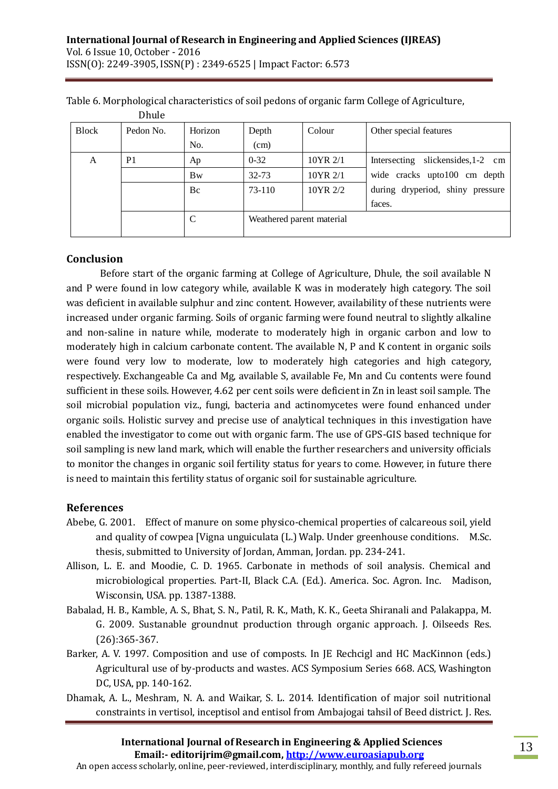|              | Duur           |           |                           |          |                                      |
|--------------|----------------|-----------|---------------------------|----------|--------------------------------------|
| <b>Block</b> | Pedon No.      | Horizon   | Depth                     | Colour   | Other special features               |
|              |                | No.       | (cm)                      |          |                                      |
| A            | P <sub>1</sub> | Ap        | $0 - 32$                  | 10YR 2/1 | slickensides, 1-2 cm<br>Intersecting |
|              |                | <b>Bw</b> | $32 - 73$                 | 10YR 2/1 | wide cracks upto100 cm depth         |
|              |                | Bc        | 73-110                    | 10YR 2/2 | during dryperiod, shiny pressure     |
|              |                |           |                           |          | faces.                               |
|              |                | C         | Weathered parent material |          |                                      |
|              |                |           |                           |          |                                      |

Table 6. Morphological characteristics of soil pedons of organic farm College of Agriculture,

### **Conclusion**

Dhule

Before start of the organic farming at College of Agriculture, Dhule, the soil available N and P were found in low category while, available K was in moderately high category. The soil was deficient in available sulphur and zinc content. However, availability of these nutrients were increased under organic farming. Soils of organic farming were found neutral to slightly alkaline and non-saline in nature while, moderate to moderately high in organic carbon and low to moderately high in calcium carbonate content. The available N, P and K content in organic soils were found very low to moderate, low to moderately high categories and high category, respectively. Exchangeable Ca and Mg, available S, available Fe, Mn and Cu contents were found sufficient in these soils. However, 4.62 per cent soils were deficient in Zn in least soil sample. The soil microbial population viz., fungi, bacteria and actinomycetes were found enhanced under organic soils. Holistic survey and precise use of analytical techniques in this investigation have enabled the investigator to come out with organic farm. The use of GPS-GIS based technique for soil sampling is new land mark, which will enable the further researchers and university officials to monitor the changes in organic soil fertility status for years to come. However, in future there is need to maintain this fertility status of organic soil for sustainable agriculture.

# **References**

- Abebe, G. 2001. Effect of manure on some physico-chemical properties of calcareous soil, yield and quality of cowpea [Vigna unguiculata (L.) Walp. Under greenhouse conditions. M.Sc. thesis, submitted to University of Jordan, Amman, Jordan. pp. 234-241.
- Allison, L. E. and Moodie, C. D. 1965. Carbonate in methods of soil analysis. Chemical and microbiological properties. Part-II, Black C.A. (Ed.). America. Soc. Agron. Inc. Madison, Wisconsin, USA. pp. 1387-1388.
- Babalad, H. B., Kamble, A. S., Bhat, S. N., Patil, R. K., Math, K. K., Geeta Shiranali and Palakappa, M. G. 2009. Sustanable groundnut production through organic approach. J. Oilseeds Res. (26):365-367.
- Barker, A. V. 1997. Composition and use of composts. In JE Rechcigl and HC MacKinnon (eds.) Agricultural use of by-products and wastes. ACS Symposium Series 668. ACS, Washington DC, USA, pp. 140-162.
- Dhamak, A. L., Meshram, N. A. and Waikar, S. L. 2014. Identification of major soil nutritional constraints in vertisol, inceptisol and entisol from Ambajogai tahsil of Beed district. J. Res.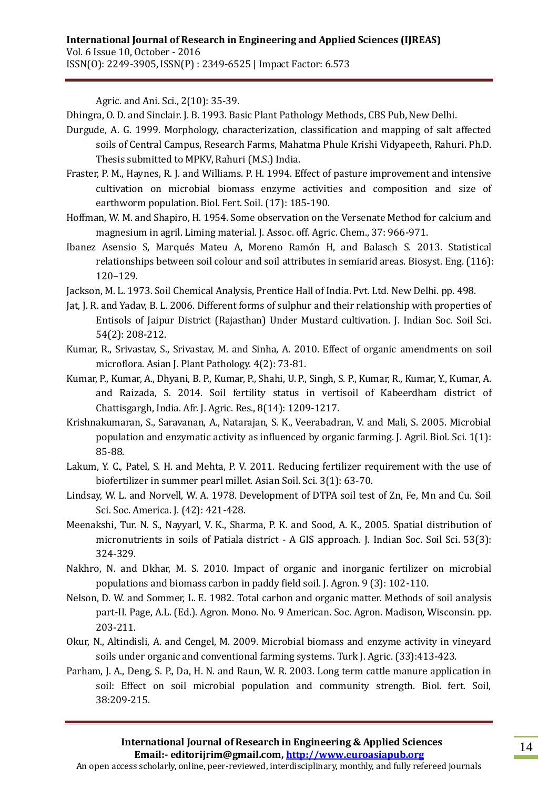Agric. and Ani. Sci., 2(10): 35-39.

Dhingra, O. D. and Sinclair. J. B. 1993. Basic Plant Pathology Methods, CBS Pub, New Delhi.

- Durgude, A. G. 1999. Morphology, characterization, classification and mapping of salt affected soils of Central Campus, Research Farms, Mahatma Phule Krishi Vidyapeeth, Rahuri. Ph.D. Thesis submitted to MPKV, Rahuri (M.S.) India.
- Fraster, P. M., Haynes, R. J. and Williams. P. H. 1994. Effect of pasture improvement and intensive cultivation on microbial biomass enzyme activities and composition and size of earthworm population. Biol. Fert. Soil. (17): 185-190.
- Hoffman, W. M. and Shapiro, H. 1954. Some observation on the Versenate Method for calcium and magnesium in agril. Liming material. J. Assoc. off. Agric. Chem., 37: 966-971.
- Ibanez Asensio S, Marqués Mateu A, Moreno Ramón H, and Balasch S. 2013. Statistical relationships between soil colour and soil attributes in semiarid areas. Biosyst. Eng. (116): 120–129.
- Jackson, M. L. 1973. Soil Chemical Analysis, Prentice Hall of India. Pvt. Ltd. New Delhi. pp. 498.
- Jat, J. R. and Yadav, B. L. 2006. Different forms of sulphur and their relationship with properties of Entisols of Jaipur District (Rajasthan) Under Mustard cultivation. J. Indian Soc. Soil Sci. 54(2): 208-212.
- Kumar, R., Srivastav, S., Srivastav, M. and Sinha, A. 2010. Effect of organic amendments on soil microflora. Asian J. Plant Pathology. 4(2): 73-81.
- Kumar, P., Kumar, A., Dhyani, B. P., Kumar, P., Shahi, U. P., Singh, S. P., Kumar, R., Kumar, Y., Kumar, A. and Raizada, S. 2014. Soil fertility status in vertisoil of Kabeerdham district of Chattisgargh, India. Afr. J. Agric. Res., 8(14): 1209-1217.
- Krishnakumaran, S., Saravanan, A., Natarajan, S. K., Veerabadran, V. and Mali, S. 2005. Microbial population and enzymatic activity as influenced by organic farming. J. Agril. Biol. Sci. 1(1): 85-88.
- Lakum, Y. C., Patel, S. H. and Mehta, P. V. 2011. Reducing fertilizer requirement with the use of biofertilizer in summer pearl millet. Asian Soil. Sci. 3(1): 63-70.
- Lindsay, W. L. and Norvell, W. A. 1978. Development of DTPA soil test of Zn, Fe, Mn and Cu. Soil Sci. Soc. America. J. (42): 421-428.
- Meenakshi, Tur. N. S., Nayyarl, V. K., Sharma, P. K. and Sood, A. K., 2005. Spatial distribution of micronutrients in soils of Patiala district - A GIS approach. J. Indian Soc. Soil Sci. 53(3): 324-329.
- Nakhro, N. and Dkhar, M. S. 2010. Impact of organic and inorganic fertilizer on microbial populations and biomass carbon in paddy field soil. J. Agron. 9 (3): 102-110.
- Nelson, D. W. and Sommer, L. E. 1982. Total carbon and organic matter. Methods of soil analysis part-II. Page, A.L. (Ed.). Agron. Mono. No. 9 American. Soc. Agron. Madison, Wisconsin. pp. 203-211.
- Okur, N., Altindisli, A. and Cengel, M. 2009. Microbial biomass and enzyme activity in vineyard soils under organic and conventional farming systems. Turk J. Agric. (33):413-423.
- Parham, J. A., Deng, S. P., Da, H. N. and Raun, W. R. 2003. Long term cattle manure application in soil: Effect on soil microbial population and community strength. Biol. fert. Soil, 38:209-215.